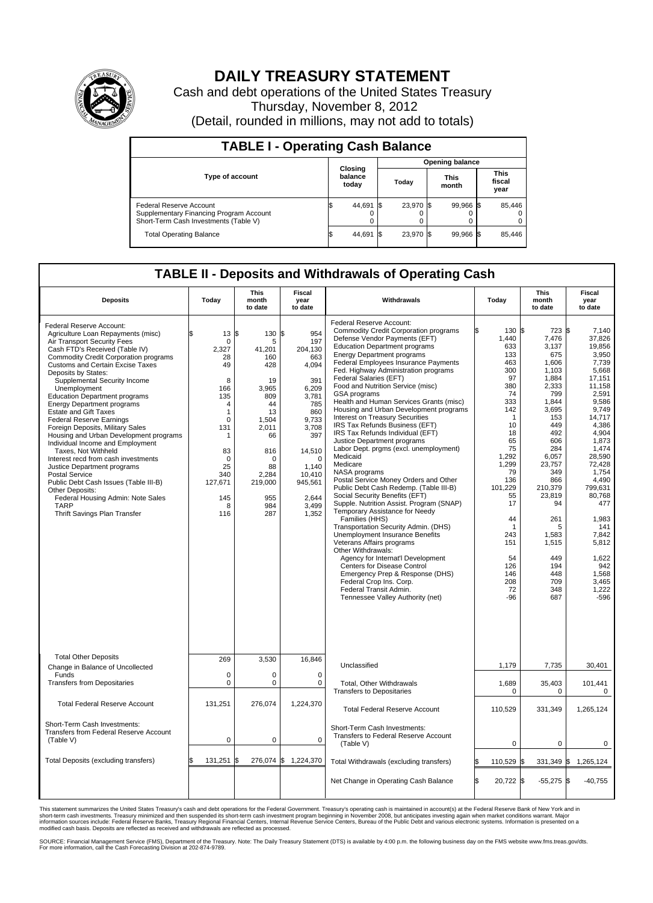

## **DAILY TREASURY STATEMENT**

Cash and debt operations of the United States Treasury Thursday, November 8, 2012 (Detail, rounded in millions, may not add to totals)

| <b>TABLE I - Operating Cash Balance</b>                                                                     |                             |                        |               |                               |  |  |  |  |  |  |
|-------------------------------------------------------------------------------------------------------------|-----------------------------|------------------------|---------------|-------------------------------|--|--|--|--|--|--|
|                                                                                                             |                             | <b>Opening balance</b> |               |                               |  |  |  |  |  |  |
| <b>Type of account</b>                                                                                      | Closing<br>balance<br>today | Today                  | This<br>month | <b>This</b><br>fiscal<br>year |  |  |  |  |  |  |
| Federal Reserve Account<br>Supplementary Financing Program Account<br>Short-Term Cash Investments (Table V) | 44,691<br>0                 | 23,970 \$              | 99,966 \$     | 85,446<br>$\Omega$<br>0       |  |  |  |  |  |  |
| <b>Total Operating Balance</b>                                                                              | 44,691                      | 23.970 \$              | 99.966 \$     | 85.446                        |  |  |  |  |  |  |

## **TABLE II - Deposits and Withdrawals of Operating Cash**

| <b>Deposits</b>                                                                                                                                                                                                                                                                                                                                                                                                                                                                                                                                                                                                                                                                                                                                                                                                                           | Todav                                                                                                                                                                   | This<br>month<br>to date                                                                                                                                     | Fiscal<br>vear<br>to date                                                                                                                                                                      | Withdrawals                                                                                                                                                                                                                                                                                                                                                                                                                                                                                                                                                                                                                                                                                                                                                                                                                                                                                                                                                                                                                                                                                                                                                                                                                            | Todav                                                                                                                                                                                                                                       | This<br>month<br>to date                                                                                                                                                                                                                                              | Fiscal<br>year<br>to date                                                                                                                                                                                                                                                                                  |
|-------------------------------------------------------------------------------------------------------------------------------------------------------------------------------------------------------------------------------------------------------------------------------------------------------------------------------------------------------------------------------------------------------------------------------------------------------------------------------------------------------------------------------------------------------------------------------------------------------------------------------------------------------------------------------------------------------------------------------------------------------------------------------------------------------------------------------------------|-------------------------------------------------------------------------------------------------------------------------------------------------------------------------|--------------------------------------------------------------------------------------------------------------------------------------------------------------|------------------------------------------------------------------------------------------------------------------------------------------------------------------------------------------------|----------------------------------------------------------------------------------------------------------------------------------------------------------------------------------------------------------------------------------------------------------------------------------------------------------------------------------------------------------------------------------------------------------------------------------------------------------------------------------------------------------------------------------------------------------------------------------------------------------------------------------------------------------------------------------------------------------------------------------------------------------------------------------------------------------------------------------------------------------------------------------------------------------------------------------------------------------------------------------------------------------------------------------------------------------------------------------------------------------------------------------------------------------------------------------------------------------------------------------------|---------------------------------------------------------------------------------------------------------------------------------------------------------------------------------------------------------------------------------------------|-----------------------------------------------------------------------------------------------------------------------------------------------------------------------------------------------------------------------------------------------------------------------|------------------------------------------------------------------------------------------------------------------------------------------------------------------------------------------------------------------------------------------------------------------------------------------------------------|
| Federal Reserve Account:<br>Agriculture Loan Repayments (misc)<br>Air Transport Security Fees<br>Cash FTD's Received (Table IV)<br><b>Commodity Credit Corporation programs</b><br><b>Customs and Certain Excise Taxes</b><br>Deposits by States:<br>Supplemental Security Income<br>Unemployment<br><b>Education Department programs</b><br><b>Energy Department programs</b><br><b>Estate and Gift Taxes</b><br><b>Federal Reserve Earnings</b><br>Foreign Deposits, Military Sales<br>Housing and Urban Development programs<br>Individual Income and Employment<br>Taxes, Not Withheld<br>Interest recd from cash investments<br>Justice Department programs<br><b>Postal Service</b><br>Public Debt Cash Issues (Table III-B)<br>Other Deposits:<br>Federal Housing Admin: Note Sales<br><b>TARP</b><br>Thrift Savings Plan Transfer | $13 \,$ $\uparrow$<br>0<br>2.327<br>28<br>49<br>8<br>166<br>135<br>$\overline{4}$<br>1<br>0<br>131<br>1<br>83<br>$\mathbf 0$<br>25<br>340<br>127,671<br>145<br>8<br>116 | 130<br>5<br>41,201<br>160<br>428<br>19<br>3.965<br>809<br>44<br>13<br>1,504<br>2,011<br>66<br>816<br>$\Omega$<br>88<br>2.284<br>219,000<br>955<br>984<br>287 | l\$<br>954<br>197<br>204,130<br>663<br>4,094<br>391<br>6,209<br>3,781<br>785<br>860<br>9,733<br>3,708<br>397<br>14,510<br>$\mathbf 0$<br>1.140<br>10.410<br>945,561<br>2.644<br>3.499<br>1,352 | Federal Reserve Account:<br><b>Commodity Credit Corporation programs</b><br>Defense Vendor Payments (EFT)<br><b>Education Department programs</b><br><b>Energy Department programs</b><br>Federal Employees Insurance Payments<br>Fed. Highway Administration programs<br>Federal Salaries (EFT)<br>Food and Nutrition Service (misc)<br>GSA programs<br>Health and Human Services Grants (misc)<br>Housing and Urban Development programs<br><b>Interest on Treasury Securities</b><br>IRS Tax Refunds Business (EFT)<br>IRS Tax Refunds Individual (EFT)<br>Justice Department programs<br>Labor Dept. prgms (excl. unemployment)<br>Medicaid<br>Medicare<br>NASA programs<br>Postal Service Money Orders and Other<br>Public Debt Cash Redemp. (Table III-B)<br>Social Security Benefits (EFT)<br>Supple. Nutrition Assist. Program (SNAP)<br>Temporary Assistance for Needy<br>Families (HHS)<br>Transportation Security Admin. (DHS)<br><b>Unemployment Insurance Benefits</b><br>Veterans Affairs programs<br>Other Withdrawals:<br>Agency for Internat'l Development<br>Centers for Disease Control<br>Emergency Prep & Response (DHS)<br>Federal Crop Ins. Corp.<br>Federal Transit Admin.<br>Tennessee Valley Authority (net) | 130 \$<br>1,440<br>633<br>133<br>463<br>300<br>97<br>380<br>74<br>333<br>142<br>$\mathbf{1}$<br>10<br>18<br>65<br>75<br>1.292<br>1,299<br>79<br>136<br>101,229<br>55<br>17<br>44<br>1<br>243<br>151<br>54<br>126<br>146<br>208<br>72<br>-96 | $723$ \$<br>7,476<br>3,137<br>675<br>1,606<br>1,103<br>1,884<br>2,333<br>799<br>1,844<br>3,695<br>153<br>449<br>492<br>606<br>284<br>6.057<br>23,757<br>349<br>866<br>210,379<br>23,819<br>94<br>261<br>5<br>1,583<br>1,515<br>449<br>194<br>448<br>709<br>348<br>687 | 7.140<br>37,826<br>19,856<br>3,950<br>7,739<br>5,668<br>17,151<br>11.158<br>2,591<br>9,586<br>9,749<br>14,717<br>4,386<br>4,904<br>1,873<br>1,474<br>28.590<br>72,428<br>1.754<br>4,490<br>799,631<br>80,768<br>477<br>1,983<br>141<br>7.842<br>5,812<br>1,622<br>942<br>1,568<br>3,465<br>1,222<br>$-596$ |
| <b>Total Other Deposits</b><br>Change in Balance of Uncollected                                                                                                                                                                                                                                                                                                                                                                                                                                                                                                                                                                                                                                                                                                                                                                           | 269                                                                                                                                                                     | 3,530                                                                                                                                                        | 16,846                                                                                                                                                                                         | Unclassified                                                                                                                                                                                                                                                                                                                                                                                                                                                                                                                                                                                                                                                                                                                                                                                                                                                                                                                                                                                                                                                                                                                                                                                                                           | 1,179                                                                                                                                                                                                                                       | 7,735                                                                                                                                                                                                                                                                 | 30,401                                                                                                                                                                                                                                                                                                     |
| Funds<br><b>Transfers from Depositaries</b>                                                                                                                                                                                                                                                                                                                                                                                                                                                                                                                                                                                                                                                                                                                                                                                               | $\mathbf 0$<br>0                                                                                                                                                        | 0<br>$\mathbf 0$                                                                                                                                             | $\mathbf 0$<br>$\mathbf 0$                                                                                                                                                                     | <b>Total, Other Withdrawals</b>                                                                                                                                                                                                                                                                                                                                                                                                                                                                                                                                                                                                                                                                                                                                                                                                                                                                                                                                                                                                                                                                                                                                                                                                        | 1,689                                                                                                                                                                                                                                       | 35,403                                                                                                                                                                                                                                                                | 101,441                                                                                                                                                                                                                                                                                                    |
|                                                                                                                                                                                                                                                                                                                                                                                                                                                                                                                                                                                                                                                                                                                                                                                                                                           |                                                                                                                                                                         |                                                                                                                                                              |                                                                                                                                                                                                | <b>Transfers to Depositaries</b>                                                                                                                                                                                                                                                                                                                                                                                                                                                                                                                                                                                                                                                                                                                                                                                                                                                                                                                                                                                                                                                                                                                                                                                                       | $\Omega$                                                                                                                                                                                                                                    | 0                                                                                                                                                                                                                                                                     | 0                                                                                                                                                                                                                                                                                                          |
| <b>Total Federal Reserve Account</b>                                                                                                                                                                                                                                                                                                                                                                                                                                                                                                                                                                                                                                                                                                                                                                                                      | 131,251                                                                                                                                                                 | 276,074                                                                                                                                                      | 1,224,370                                                                                                                                                                                      | <b>Total Federal Reserve Account</b>                                                                                                                                                                                                                                                                                                                                                                                                                                                                                                                                                                                                                                                                                                                                                                                                                                                                                                                                                                                                                                                                                                                                                                                                   | 110,529                                                                                                                                                                                                                                     | 331,349                                                                                                                                                                                                                                                               | 1,265,124                                                                                                                                                                                                                                                                                                  |
| Short-Term Cash Investments:<br>Transfers from Federal Reserve Account<br>(Table V)                                                                                                                                                                                                                                                                                                                                                                                                                                                                                                                                                                                                                                                                                                                                                       | $\mathbf 0$                                                                                                                                                             | $\mathbf 0$                                                                                                                                                  | $\mathbf 0$                                                                                                                                                                                    | Short-Term Cash Investments:<br>Transfers to Federal Reserve Account<br>(Table V)                                                                                                                                                                                                                                                                                                                                                                                                                                                                                                                                                                                                                                                                                                                                                                                                                                                                                                                                                                                                                                                                                                                                                      | $\mathbf 0$                                                                                                                                                                                                                                 | 0                                                                                                                                                                                                                                                                     | 0                                                                                                                                                                                                                                                                                                          |
| Total Deposits (excluding transfers)                                                                                                                                                                                                                                                                                                                                                                                                                                                                                                                                                                                                                                                                                                                                                                                                      | 131.251                                                                                                                                                                 | 276,074<br>l\$                                                                                                                                               | 1,224,370<br>S                                                                                                                                                                                 | Total Withdrawals (excluding transfers)                                                                                                                                                                                                                                                                                                                                                                                                                                                                                                                                                                                                                                                                                                                                                                                                                                                                                                                                                                                                                                                                                                                                                                                                | 110,529 \$                                                                                                                                                                                                                                  | $331,349$ \$                                                                                                                                                                                                                                                          | 1,265,124                                                                                                                                                                                                                                                                                                  |
|                                                                                                                                                                                                                                                                                                                                                                                                                                                                                                                                                                                                                                                                                                                                                                                                                                           |                                                                                                                                                                         |                                                                                                                                                              |                                                                                                                                                                                                | Net Change in Operating Cash Balance                                                                                                                                                                                                                                                                                                                                                                                                                                                                                                                                                                                                                                                                                                                                                                                                                                                                                                                                                                                                                                                                                                                                                                                                   | l\$<br>20,722 \$                                                                                                                                                                                                                            | $-55,275$ \$                                                                                                                                                                                                                                                          | $-40,755$                                                                                                                                                                                                                                                                                                  |

This statement summarizes the United States Treasury's cash and debt operations for the Federal Government. Treasury's operating cash is maintained in account(s) at the Federal Reserve Bank of New York and in<br>short-term ca

SOURCE: Financial Management Service (FMS), Department of the Treasury. Note: The Daily Treasury Statement (DTS) is available by 4:00 p.m. the following business day on the FMS website www.fms.treas.gov/dts.<br>For more infor